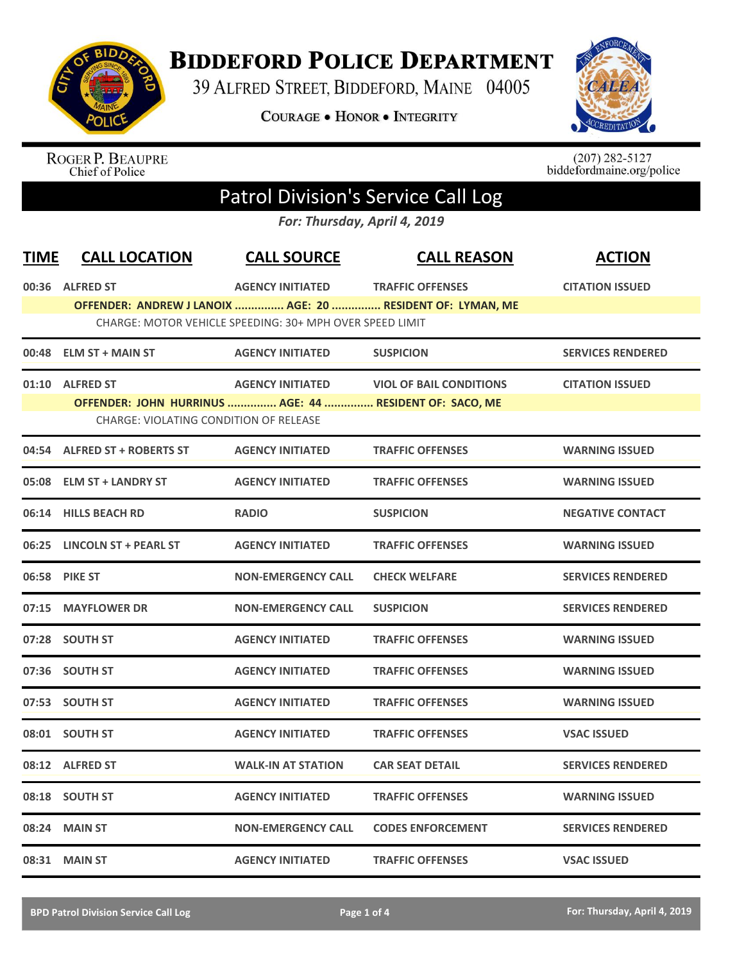

## **BIDDEFORD POLICE DEPARTMENT**

39 ALFRED STREET, BIDDEFORD, MAINE 04005

**COURAGE . HONOR . INTEGRITY** 



ROGER P. BEAUPRE<br>Chief of Police

 $(207)$  282-5127<br>biddefordmaine.org/police

## Patrol Division's Service Call Log

*For: Thursday, April 4, 2019*

| <b>TIME</b> | <b>CALL LOCATION</b>                                       | <b>CALL SOURCE</b>                                       | <b>CALL REASON</b>             | <b>ACTION</b>            |
|-------------|------------------------------------------------------------|----------------------------------------------------------|--------------------------------|--------------------------|
|             | 00:36 ALFRED ST                                            | <b>AGENCY INITIATED</b>                                  | <b>TRAFFIC OFFENSES</b>        | <b>CITATION ISSUED</b>   |
|             | OFFENDER: ANDREW J LANOIX  AGE: 20  RESIDENT OF: LYMAN, ME |                                                          |                                |                          |
|             |                                                            | CHARGE: MOTOR VEHICLE SPEEDING: 30+ MPH OVER SPEED LIMIT |                                |                          |
|             | 00:48 ELM ST + MAIN ST                                     | <b>AGENCY INITIATED</b>                                  | <b>SUSPICION</b>               | <b>SERVICES RENDERED</b> |
|             | 01:10 ALFRED ST                                            | <b>AGENCY INITIATED</b>                                  | <b>VIOL OF BAIL CONDITIONS</b> | <b>CITATION ISSUED</b>   |
|             | OFFENDER: JOHN HURRINUS  AGE: 44  RESIDENT OF: SACO, ME    |                                                          |                                |                          |
|             | <b>CHARGE: VIOLATING CONDITION OF RELEASE</b>              |                                                          |                                |                          |
|             | 04:54 ALFRED ST + ROBERTS ST                               | <b>AGENCY INITIATED</b>                                  | <b>TRAFFIC OFFENSES</b>        | <b>WARNING ISSUED</b>    |
|             | 05:08 ELM ST + LANDRY ST                                   | <b>AGENCY INITIATED</b>                                  | <b>TRAFFIC OFFENSES</b>        | <b>WARNING ISSUED</b>    |
|             | 06:14 HILLS BEACH RD                                       | <b>RADIO</b>                                             | <b>SUSPICION</b>               | <b>NEGATIVE CONTACT</b>  |
|             | 06:25 LINCOLN ST + PEARL ST                                | <b>AGENCY INITIATED</b>                                  | <b>TRAFFIC OFFENSES</b>        | <b>WARNING ISSUED</b>    |
|             | 06:58 PIKE ST                                              | <b>NON-EMERGENCY CALL</b>                                | <b>CHECK WELFARE</b>           | <b>SERVICES RENDERED</b> |
| 07:15       | <b>MAYFLOWER DR</b>                                        | <b>NON-EMERGENCY CALL</b>                                | <b>SUSPICION</b>               | <b>SERVICES RENDERED</b> |
|             | 07:28 SOUTH ST                                             | <b>AGENCY INITIATED</b>                                  | <b>TRAFFIC OFFENSES</b>        | <b>WARNING ISSUED</b>    |
|             | 07:36 SOUTH ST                                             | <b>AGENCY INITIATED</b>                                  | <b>TRAFFIC OFFENSES</b>        | <b>WARNING ISSUED</b>    |
|             | 07:53 SOUTH ST                                             | <b>AGENCY INITIATED</b>                                  | <b>TRAFFIC OFFENSES</b>        | <b>WARNING ISSUED</b>    |
|             | 08:01 SOUTH ST                                             | <b>AGENCY INITIATED</b>                                  | <b>TRAFFIC OFFENSES</b>        | <b>VSAC ISSUED</b>       |
|             | 08:12 ALFRED ST                                            | <b>WALK-IN AT STATION</b>                                | <b>CAR SEAT DETAIL</b>         | <b>SERVICES RENDERED</b> |
|             | 08:18 SOUTH ST                                             | <b>AGENCY INITIATED</b>                                  | <b>TRAFFIC OFFENSES</b>        | <b>WARNING ISSUED</b>    |
| 08:24       | <b>MAIN ST</b>                                             | <b>NON-EMERGENCY CALL</b>                                | <b>CODES ENFORCEMENT</b>       | <b>SERVICES RENDERED</b> |
|             | 08:31 MAIN ST                                              | <b>AGENCY INITIATED</b>                                  | <b>TRAFFIC OFFENSES</b>        | <b>VSAC ISSUED</b>       |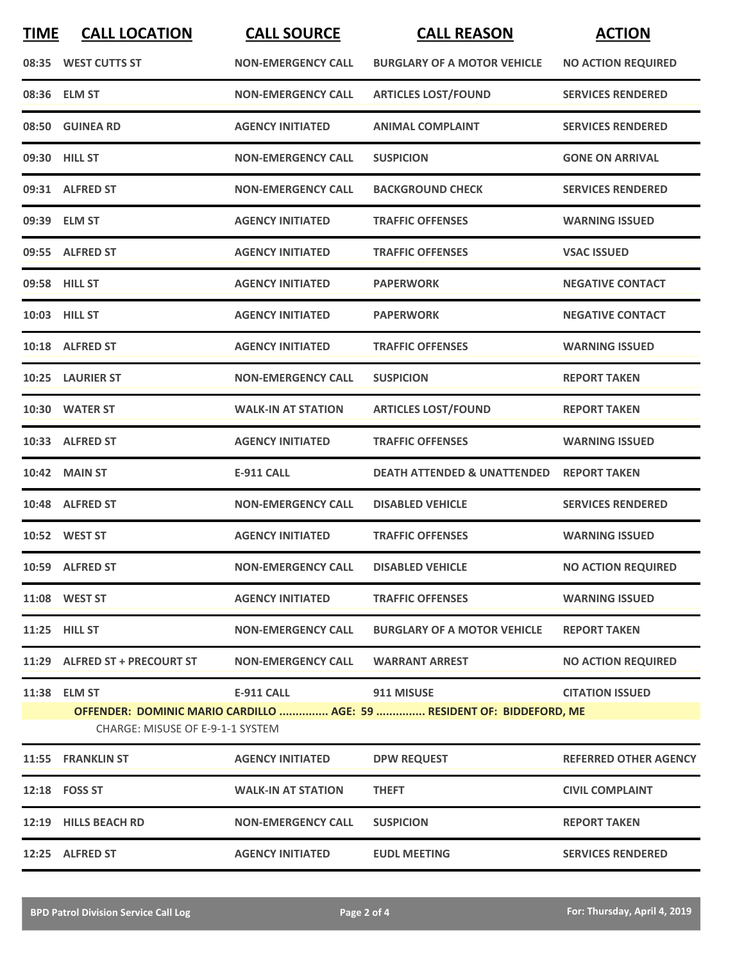| <b>TIME</b> | <b>CALL LOCATION</b>                             | <b>CALL SOURCE</b>        | <b>CALL REASON</b>                                                                         | <b>ACTION</b>                |
|-------------|--------------------------------------------------|---------------------------|--------------------------------------------------------------------------------------------|------------------------------|
|             | 08:35 WEST CUTTS ST                              | <b>NON-EMERGENCY CALL</b> | <b>BURGLARY OF A MOTOR VEHICLE</b>                                                         | <b>NO ACTION REQUIRED</b>    |
|             | 08:36 ELM ST                                     | <b>NON-EMERGENCY CALL</b> | <b>ARTICLES LOST/FOUND</b>                                                                 | <b>SERVICES RENDERED</b>     |
|             | 08:50 GUINEA RD                                  | <b>AGENCY INITIATED</b>   | <b>ANIMAL COMPLAINT</b>                                                                    | <b>SERVICES RENDERED</b>     |
|             | 09:30 HILL ST                                    | <b>NON-EMERGENCY CALL</b> | <b>SUSPICION</b>                                                                           | <b>GONE ON ARRIVAL</b>       |
|             | 09:31 ALFRED ST                                  | <b>NON-EMERGENCY CALL</b> | <b>BACKGROUND CHECK</b>                                                                    | <b>SERVICES RENDERED</b>     |
|             | 09:39 ELM ST                                     | <b>AGENCY INITIATED</b>   | <b>TRAFFIC OFFENSES</b>                                                                    | <b>WARNING ISSUED</b>        |
|             | 09:55 ALFRED ST                                  | <b>AGENCY INITIATED</b>   | <b>TRAFFIC OFFENSES</b>                                                                    | <b>VSAC ISSUED</b>           |
|             | 09:58 HILL ST                                    | <b>AGENCY INITIATED</b>   | <b>PAPERWORK</b>                                                                           | <b>NEGATIVE CONTACT</b>      |
|             | 10:03 HILL ST                                    | <b>AGENCY INITIATED</b>   | <b>PAPERWORK</b>                                                                           | <b>NEGATIVE CONTACT</b>      |
|             | 10:18 ALFRED ST                                  | <b>AGENCY INITIATED</b>   | <b>TRAFFIC OFFENSES</b>                                                                    | <b>WARNING ISSUED</b>        |
|             | 10:25 LAURIER ST                                 | <b>NON-EMERGENCY CALL</b> | <b>SUSPICION</b>                                                                           | <b>REPORT TAKEN</b>          |
|             | 10:30 WATER ST                                   | <b>WALK-IN AT STATION</b> | <b>ARTICLES LOST/FOUND</b>                                                                 | <b>REPORT TAKEN</b>          |
|             | 10:33 ALFRED ST                                  | <b>AGENCY INITIATED</b>   | <b>TRAFFIC OFFENSES</b>                                                                    | <b>WARNING ISSUED</b>        |
|             | <b>10:42 MAIN ST</b>                             | <b>E-911 CALL</b>         | <b>DEATH ATTENDED &amp; UNATTENDED</b>                                                     | <b>REPORT TAKEN</b>          |
|             | 10:48 ALFRED ST                                  | <b>NON-EMERGENCY CALL</b> | <b>DISABLED VEHICLE</b>                                                                    | <b>SERVICES RENDERED</b>     |
|             | 10:52 WEST ST                                    | <b>AGENCY INITIATED</b>   | <b>TRAFFIC OFFENSES</b>                                                                    | <b>WARNING ISSUED</b>        |
|             | 10:59 ALFRED ST                                  | <b>NON-EMERGENCY CALL</b> | <b>DISABLED VEHICLE</b>                                                                    | <b>NO ACTION REQUIRED</b>    |
|             | 11:08 WEST ST                                    | <b>AGENCY INITIATED</b>   | <b>TRAFFIC OFFENSES</b>                                                                    | <b>WARNING ISSUED</b>        |
|             | 11:25 HILL ST                                    | <b>NON-EMERGENCY CALL</b> | <b>BURGLARY OF A MOTOR VEHICLE</b>                                                         | <b>REPORT TAKEN</b>          |
|             | 11:29 ALFRED ST + PRECOURT ST                    | <b>NON-EMERGENCY CALL</b> | <b>WARRANT ARREST</b>                                                                      | <b>NO ACTION REQUIRED</b>    |
|             | 11:38 ELM ST<br>CHARGE: MISUSE OF E-9-1-1 SYSTEM | E-911 CALL                | <b>911 MISUSE</b><br>OFFENDER: DOMINIC MARIO CARDILLO  AGE: 59  RESIDENT OF: BIDDEFORD, ME | <b>CITATION ISSUED</b>       |
|             | 11:55 FRANKLIN ST                                | <b>AGENCY INITIATED</b>   | <b>DPW REQUEST</b>                                                                         | <b>REFERRED OTHER AGENCY</b> |
|             | 12:18 FOSS ST                                    | <b>WALK-IN AT STATION</b> | <b>THEFT</b>                                                                               | <b>CIVIL COMPLAINT</b>       |
|             | 12:19 HILLS BEACH RD                             | <b>NON-EMERGENCY CALL</b> | <b>SUSPICION</b>                                                                           | <b>REPORT TAKEN</b>          |
|             | 12:25 ALFRED ST                                  | <b>AGENCY INITIATED</b>   | <b>EUDL MEETING</b>                                                                        | <b>SERVICES RENDERED</b>     |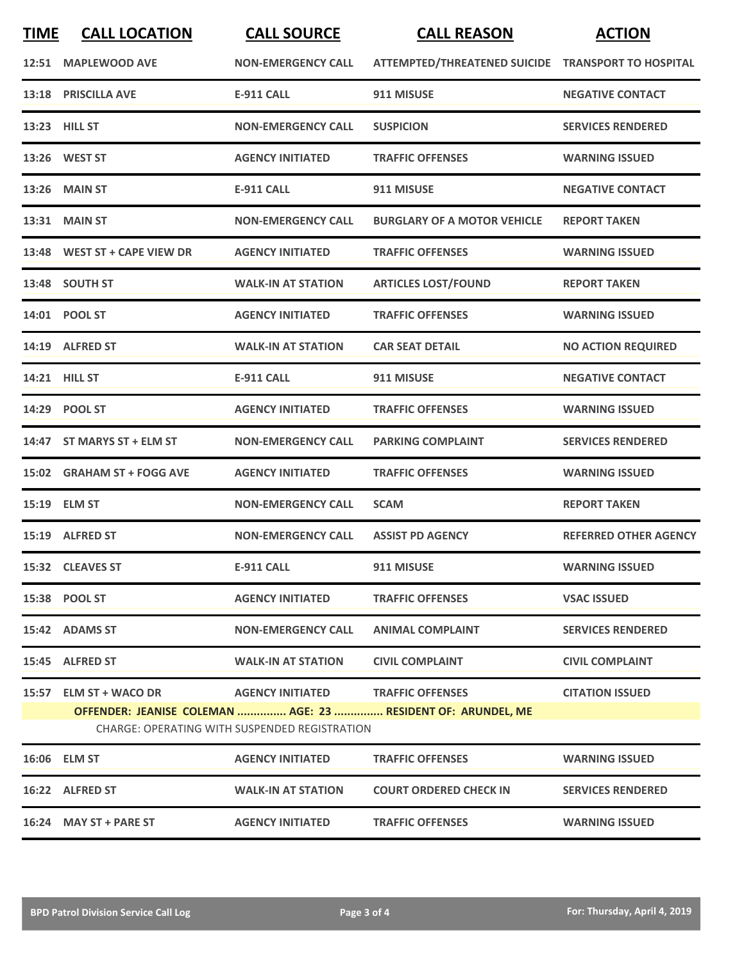| <b>TIME</b>                                                                                                          | <b>CALL LOCATION</b>         | <b>CALL SOURCE</b>        | <b>CALL REASON</b>                                 | <b>ACTION</b>                |  |
|----------------------------------------------------------------------------------------------------------------------|------------------------------|---------------------------|----------------------------------------------------|------------------------------|--|
|                                                                                                                      | 12:51 MAPLEWOOD AVE          | <b>NON-EMERGENCY CALL</b> | ATTEMPTED/THREATENED SUICIDE TRANSPORT TO HOSPITAL |                              |  |
|                                                                                                                      | 13:18 PRISCILLA AVE          | <b>E-911 CALL</b>         | 911 MISUSE                                         | <b>NEGATIVE CONTACT</b>      |  |
|                                                                                                                      | 13:23 HILL ST                | <b>NON-EMERGENCY CALL</b> | <b>SUSPICION</b>                                   | <b>SERVICES RENDERED</b>     |  |
|                                                                                                                      | 13:26 WEST ST                | <b>AGENCY INITIATED</b>   | <b>TRAFFIC OFFENSES</b>                            | <b>WARNING ISSUED</b>        |  |
|                                                                                                                      | 13:26 MAIN ST                | <b>E-911 CALL</b>         | 911 MISUSE                                         | <b>NEGATIVE CONTACT</b>      |  |
|                                                                                                                      | 13:31 MAIN ST                | <b>NON-EMERGENCY CALL</b> | <b>BURGLARY OF A MOTOR VEHICLE</b>                 | <b>REPORT TAKEN</b>          |  |
|                                                                                                                      | 13:48 WEST ST + CAPE VIEW DR | <b>AGENCY INITIATED</b>   | <b>TRAFFIC OFFENSES</b>                            | <b>WARNING ISSUED</b>        |  |
|                                                                                                                      | 13:48 SOUTH ST               | <b>WALK-IN AT STATION</b> | <b>ARTICLES LOST/FOUND</b>                         | <b>REPORT TAKEN</b>          |  |
|                                                                                                                      | 14:01 POOL ST                | <b>AGENCY INITIATED</b>   | <b>TRAFFIC OFFENSES</b>                            | <b>WARNING ISSUED</b>        |  |
|                                                                                                                      | 14:19 ALFRED ST              | <b>WALK-IN AT STATION</b> | <b>CAR SEAT DETAIL</b>                             | <b>NO ACTION REQUIRED</b>    |  |
|                                                                                                                      | 14:21 HILL ST                | <b>E-911 CALL</b>         | 911 MISUSE                                         | <b>NEGATIVE CONTACT</b>      |  |
|                                                                                                                      | 14:29 POOL ST                | <b>AGENCY INITIATED</b>   | <b>TRAFFIC OFFENSES</b>                            | <b>WARNING ISSUED</b>        |  |
|                                                                                                                      | 14:47 ST MARYS ST + ELM ST   | <b>NON-EMERGENCY CALL</b> | <b>PARKING COMPLAINT</b>                           | <b>SERVICES RENDERED</b>     |  |
|                                                                                                                      | 15:02 GRAHAM ST + FOGG AVE   | <b>AGENCY INITIATED</b>   | <b>TRAFFIC OFFENSES</b>                            | <b>WARNING ISSUED</b>        |  |
|                                                                                                                      | 15:19 ELM ST                 | <b>NON-EMERGENCY CALL</b> | <b>SCAM</b>                                        | <b>REPORT TAKEN</b>          |  |
|                                                                                                                      | 15:19 ALFRED ST              | <b>NON-EMERGENCY CALL</b> | <b>ASSIST PD AGENCY</b>                            | <b>REFERRED OTHER AGENCY</b> |  |
|                                                                                                                      | 15:32 CLEAVES ST             | E-911 CALL                | 911 MISUSE                                         | <b>WARNING ISSUED</b>        |  |
|                                                                                                                      | 15:38 POOL ST                | <b>AGENCY INITIATED</b>   | <b>TRAFFIC OFFENSES</b>                            | <b>VSAC ISSUED</b>           |  |
|                                                                                                                      | 15:42 ADAMS ST               | <b>NON-EMERGENCY CALL</b> | <b>ANIMAL COMPLAINT</b>                            | <b>SERVICES RENDERED</b>     |  |
|                                                                                                                      | 15:45 ALFRED ST              | <b>WALK-IN AT STATION</b> | <b>CIVIL COMPLAINT</b>                             | <b>CIVIL COMPLAINT</b>       |  |
|                                                                                                                      |                              |                           |                                                    | <b>CITATION ISSUED</b>       |  |
| OFFENDER: JEANISE COLEMAN  AGE: 23  RESIDENT OF: ARUNDEL, ME<br><b>CHARGE: OPERATING WITH SUSPENDED REGISTRATION</b> |                              |                           |                                                    |                              |  |
|                                                                                                                      | 16:06 ELM ST                 | <b>AGENCY INITIATED</b>   | <b>TRAFFIC OFFENSES</b>                            | <b>WARNING ISSUED</b>        |  |
|                                                                                                                      | 16:22 ALFRED ST              | <b>WALK-IN AT STATION</b> | <b>COURT ORDERED CHECK IN</b>                      | <b>SERVICES RENDERED</b>     |  |
|                                                                                                                      | 16:24 MAY ST + PARE ST       | <b>AGENCY INITIATED</b>   | <b>TRAFFIC OFFENSES</b>                            | <b>WARNING ISSUED</b>        |  |